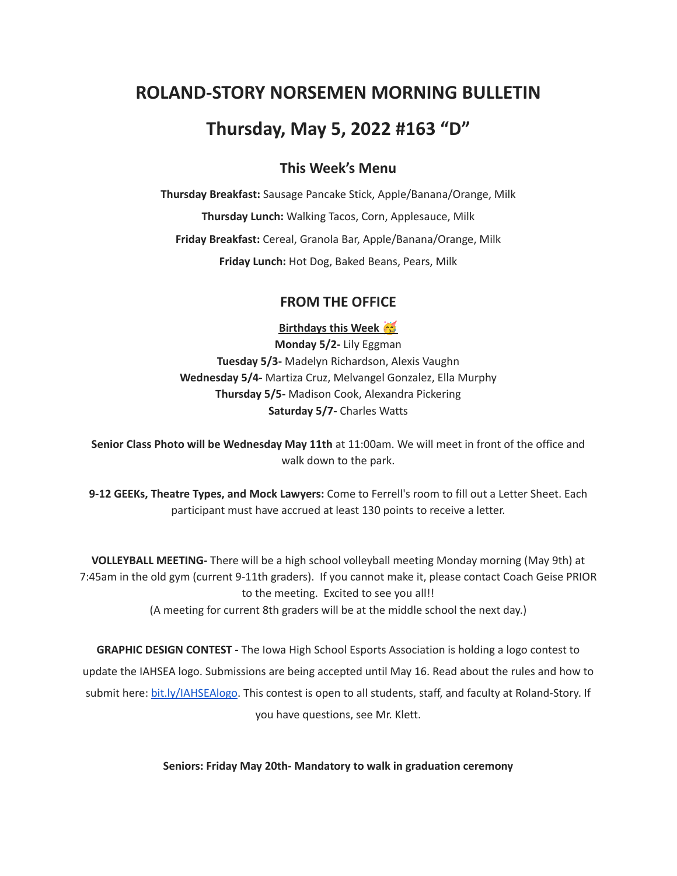# **ROLAND-STORY NORSEMEN MORNING BULLETIN**

# **Thursday, May 5, 2022 #163 "D"**

## **This Week's Menu**

**Thursday Breakfast:** Sausage Pancake Stick, Apple/Banana/Orange, Milk **Thursday Lunch:** Walking Tacos, Corn, Applesauce, Milk **Friday Breakfast:** Cereal, Granola Bar, Apple/Banana/Orange, Milk **Friday Lunch:** Hot Dog, Baked Beans, Pears, Milk

#### **FROM THE OFFICE**

**Birthdays this Week**

**Monday 5/2-** Lily Eggman **Tuesday 5/3-** Madelyn Richardson, Alexis Vaughn **Wednesday 5/4-** Martiza Cruz, Melvangel Gonzalez, Ella Murphy **Thursday 5/5-** Madison Cook, Alexandra Pickering **Saturday 5/7-** Charles Watts

**Senior Class Photo will be Wednesday May 11th** at 11:00am. We will meet in front of the office and walk down to the park.

**9-12 GEEKs, Theatre Types, and Mock Lawyers:** Come to Ferrell's room to fill out a Letter Sheet. Each participant must have accrued at least 130 points to receive a letter.

**VOLLEYBALL MEETING-** There will be a high school volleyball meeting Monday morning (May 9th) at 7:45am in the old gym (current 9-11th graders). If you cannot make it, please contact Coach Geise PRIOR to the meeting. Excited to see you all!! (A meeting for current 8th graders will be at the middle school the next day.)

**GRAPHIC DESIGN CONTEST -** The Iowa High School Esports Association is holding a logo contest to update the IAHSEA logo. Submissions are being accepted until May 16. Read about the rules and how to submit here: [bit.ly/IAHSEAlogo.](http://bit.ly/IAHSEAlogo) This contest is open to all students, staff, and faculty at Roland-Story. If you have questions, see Mr. Klett.

**Seniors: Friday May 20th- Mandatory to walk in graduation ceremony**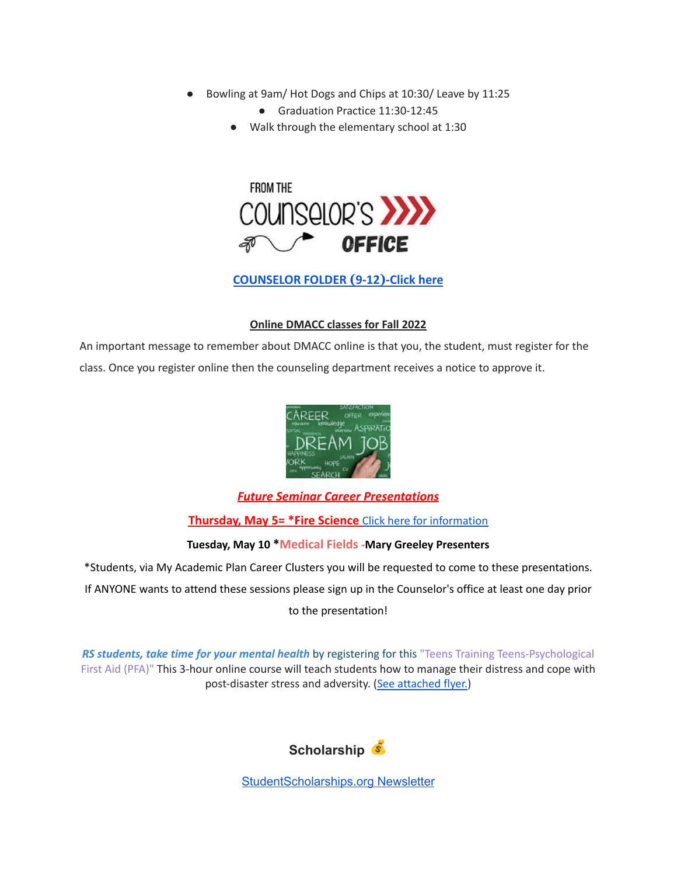- Bowling at 9am/ Hot Dogs and Chips at 10:30/ Leave by 11:25
	- Graduation Practice 11:30-12:45
	- Walk through the elementary school at 1:30



### **[COUNSELOR FOLDER](https://docs.google.com/document/d/1vmwczNPbDzXe9vFaG5LJMQ7NYDv-i4oQJHybqA65TUc/edit?usp=sharing) (9-12)-Click here**

#### **Online DMACC classes for Fall 2022**

An important message to remember about DMACC online is that you, the student, must register for the class. Once you register online then the counseling department receives a notice to approve it.



#### *Future Seminar Career Presentations*

#### **Thursday, May 5= \*Fire Science** Click here for [information](https://www.dmacc.edu/programs/fire/Pages/welcome.aspx)

#### **Tuesday, May 10 \*Medical Fields -Mary Greeley Presenters**

\*Students, via My Academic Plan Career Clusters you will be requested to come to these presentations.

If ANYONE wants to attend these sessions please sign up in the Counselor's office at least one day prior

to the presentation!

*RS students, take time for your mental health* by registering for this "Teens Training Teens-Psychological First Aid (PFA)" This 3-hour online course will teach students how to manage their distress and cope with post-disaster stress and adversity. (See [attached](https://drive.google.com/file/d/18ZxsDgb9mTVccDP5AD1ejwqoEi1MNUwE/view?usp=sharing) flyer.)



[StudentScholarships.org](https://drive.google.com/file/d/1qEKcx3GVK6vi8DB_QD_Px65Do1Dedcz6/view?usp=sharing) Newsletter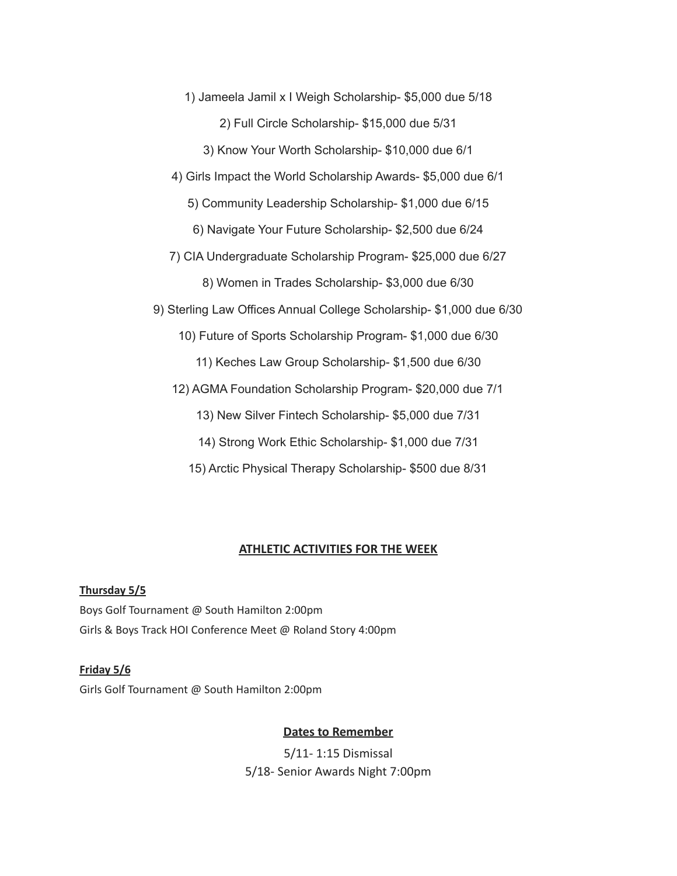1) Jameela Jamil x I Weigh Scholarship- \$5,000 due 5/18 2) Full Circle Scholarship- \$15,000 due 5/31 3) Know Your Worth Scholarship- \$10,000 due 6/1 4) Girls Impact the World Scholarship Awards- \$5,000 due 6/1 5) Community Leadership Scholarship- \$1,000 due 6/15 6) Navigate Your Future Scholarship- \$2,500 due 6/24 7) CIA Undergraduate Scholarship Program- \$25,000 due 6/27 8) Women in Trades Scholarship- \$3,000 due 6/30 9) Sterling Law Offices Annual College Scholarship- \$1,000 due 6/30 10) Future of Sports Scholarship Program- \$1,000 due 6/30 11) Keches Law Group Scholarship- \$1,500 due 6/30 12) AGMA Foundation Scholarship Program- \$20,000 due 7/1 13) New Silver Fintech Scholarship- \$5,000 due 7/31

14) Strong Work Ethic Scholarship- \$1,000 due 7/31

15) Arctic Physical Therapy Scholarship- \$500 due 8/31

#### **ATHLETIC ACTIVITIES FOR THE WEEK**

# **Thursday 5/5** Boys Golf Tournament @ South Hamilton 2:00pm Girls & Boys Track HOI Conference Meet @ Roland Story 4:00pm

## **Friday 5/6**

Girls Golf Tournament @ South Hamilton 2:00pm

#### **Dates to Remember**

5/11- 1:15 Dismissal 5/18- Senior Awards Night 7:00pm